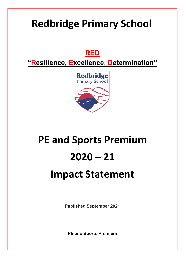## **Redbridge Primary School**

### **RED**

**"Resilience, Excellence, Determination"**



# **PE and Sports Premium 2020 – 21 Impact Statement**

**Published September 2021**

**PE and Sports Premium**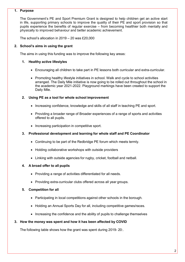#### **1. Purpose**

The Government's PE and Sport Premium Grant is designed to help children get an active start in life, supporting primary schools to improve the quality of their PE and sport provision so that pupils experience the benefits of regular exercise – from becoming healthier both mentally and physically to improved behaviour and better academic achievement.

The school's allocation in 2019 – 20 was £20,000

#### **2. School's aims in using the grant**

The aims in using this funding was to improve the following key areas:

#### **1. Healthy active lifestyles**

- Encouraging all children to take part in PE lessons both curricular and extra-curricular.
- Promoting healthy lifestyle initiatives in school. Walk and cycle to school activities arranged. The Daily Mile initiative is now going to be rolled out throughout the school in the academic year 2021-2022. Playground markings have been created to support the Daily Mile.

#### **2. Using PE as a tool for whole school improvement**

- Increasing confidence, knowledge and skills of all staff in teaching PE and sport.
- Providing a broader range of Broader experiences of a range of sports and activities offered to all pupils.
- Increasing participation in competitive sport.

#### **3. Professional development and learning for whole staff and PE Coordinator**

- Continuing to be part of the Redbridge PE forum which meets termly.
- Holding collaborative workshops with outside providers
- Linking with outside agencies for rugby, cricket, football and netball.

#### **4. A broad offer to all pupils**

- Providing a range of activities differentiated for all needs.
- Providing extra-curricular clubs offered across all year groups.

#### **5. Competition for all**

- Participating in local competitions against other schools in the borough.
- Holding an Annual Sports Day for all, including competitive games/races.
- Increasing the confidence and the ability of pupils to challenge themselves

#### **3. How the money was spent and how it has been affected by COVID**

The following table shows how the grant was spent during 2019- 20:.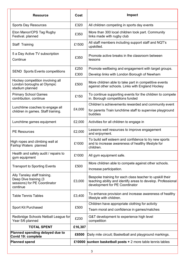| <b>Resource</b>                                                                                    | <b>Cost</b> | <b>Impact</b>                                                                                                                                              |  |
|----------------------------------------------------------------------------------------------------|-------------|------------------------------------------------------------------------------------------------------------------------------------------------------------|--|
| <b>Sports Day Resources</b>                                                                        | £320        | All children competing in sports day events                                                                                                                |  |
| Eton Manor/CPS Tag Rugby<br>Festival. planned                                                      | £350        | More than 300 local children took part. Community<br>links made with rugby club                                                                            |  |
| Staff Training                                                                                     | £1500       | All staff members including support staff and NQT's<br>upskilled.                                                                                          |  |
| 5 a Day Active TV subscription<br>Continue                                                         | £350        | Promote active breaks in the classroom between<br>lessons                                                                                                  |  |
|                                                                                                    | £250        | Promote wellbeing and engagement with target groups.                                                                                                       |  |
| <b>SEND Sports Events competitions</b>                                                             | £300        | Develop links with London Borough of Newham                                                                                                                |  |
| Hockey competition involving all<br>London boroughs at Olympic<br>stadium planned                  | £500        | More children able to take part in competitive events<br>against other schools. Links with England Hockey                                                  |  |
| <b>Primary School Games</b><br>contribution. continue                                              | £150        | To continue supporting events for the children to compete<br>in. Borough competitions funded                                                               |  |
|                                                                                                    | £4,000      | Children's achievements rewarded and community event                                                                                                       |  |
| Lunchtime coaches to engage all<br>children in games. Staff training.                              |             | for parents Train lunchtime staff to supervise playground<br>buddies                                                                                       |  |
| Lunchtime games equipment                                                                          | £2,000      | Activities for all children to engage in                                                                                                                   |  |
| <b>PE Resources</b>                                                                                | £2,000      | Lessons well resources to improve engagement<br>and enjoyment.                                                                                             |  |
| High ropes and climbing wall at<br>Fairlop Waters planned                                          | £1000       | To build self esteem and confidence to try new sports<br>and to increase awareness of healthy lifestyle for<br>children.                                   |  |
| Health and safety audit / repairs to<br>gym equipment                                              | £1000       | All gym equipment safe.                                                                                                                                    |  |
| <b>Transport to Sporting Events</b>                                                                | £500        | More children able to compete against other schools.<br>Increase participation.                                                                            |  |
| Ally Tansley staff training.<br>Deep Dive training (3)<br>sessions) for PE Coordinator<br>continue | £3,000      | Bespoke training for each class teacher to upskill their<br>teaching ability and identify areas to develop. Professional<br>development for PE Coordinator |  |
| <b>Table Tennis Tables</b>                                                                         | £3,400      | To enhance provision and increase awareness of healthy<br>lifestyle with children.                                                                         |  |
|                                                                                                    |             | Children have appropriate clothing for activity                                                                                                            |  |
| Sport Kit Purchased                                                                                | £500        | Team moral and confidence in games/matches                                                                                                                 |  |
| Redbridge Schools Netball League for<br>Year 5/6 planned                                           | £230        | G&T development to experience high level<br>competition                                                                                                    |  |
| <b>TOTAL SPENT</b>                                                                                 | £16,307     |                                                                                                                                                            |  |
| Planned spending delayed due to<br>Covid 19: complete                                              | £6500       | Daily mile circuit; Basketball and playground markings.                                                                                                    |  |
| <b>Planned spend</b>                                                                               |             | £10000 sunken basketball posts $+2$ more table tennis tables                                                                                               |  |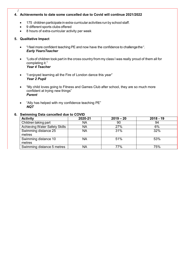#### **4. Achievements to date some cancelled due to Covid will continue 2021/2022**

- 175 children participate in extra-curricular activities run by school staff.
- 9 different sports clubs offered
- 8 hours of extra-curricular activity per week

#### **5. Qualitative Impact**

/

- "I feel more confident teaching PE and now have the confidence to challengethe". *Early YearsTeacher*
- "Lots of children took part in the cross country from my class I was really proud of them all for completing it." *Year 4 Teacher*
- "I enjoyed learning all the Fire of London dance this year" *Year 2 Pupil*
- "My child loves going to Fitness and Games Club after school, they are so much more confident at trying new things" *Parent*
- "Ally has helped with my confidence teaching PE" *NQT*

| <b>Swimming Data Cancelled due to COVID</b> |         |             |             |  |
|---------------------------------------------|---------|-------------|-------------|--|
| <b>Activity</b>                             | 2020-21 | $2019 - 20$ | $2018 - 19$ |  |
| Children taking part                        | ΝA      | 90          | 94          |  |
| <b>Achieving Water Safety Skills</b>        | NA      | 27%         | 6%          |  |
| Swimming distance 25<br>metres              | NA      | 31%         | 32%         |  |
| Swimming distance 10<br>metres              | NA      | 51%         | 53%         |  |
| Swimming distance 5 metres                  | NA      | 77%         | 75%         |  |

#### **6. Swimming Data cancelled due to COVID**